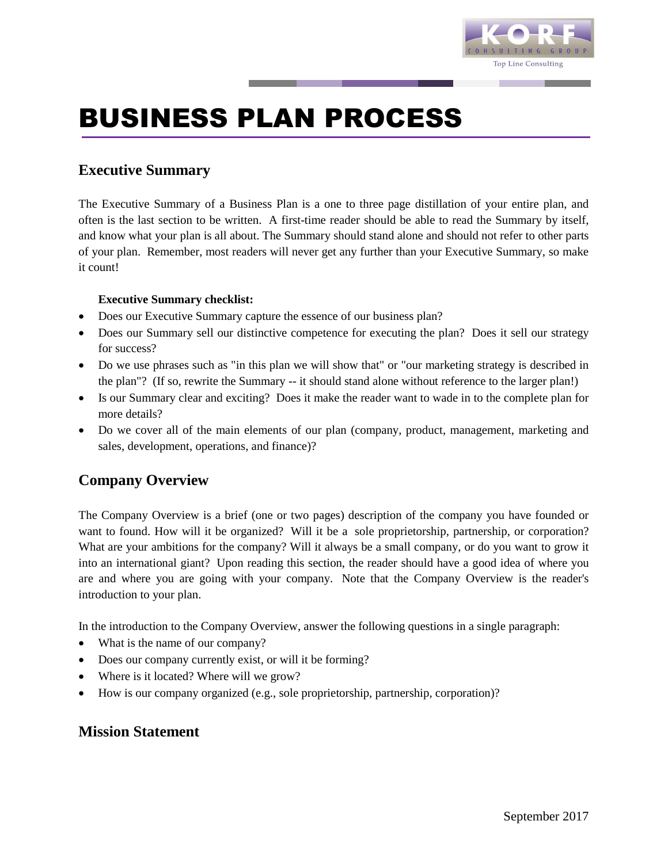

# BUSINESS PLAN PROCESS

# **Executive Summary**

The Executive Summary of a Business Plan is a one to three page distillation of your entire plan, and often is the last section to be written. A first-time reader should be able to read the Summary by itself, and know what your plan is all about. The Summary should stand alone and should not refer to other parts of your plan. Remember, most readers will never get any further than your Executive Summary, so make it count!

## **Executive Summary checklist:**

- Does our Executive Summary capture the essence of our business plan?
- Does our Summary sell our distinctive competence for executing the plan? Does it sell our strategy for success?
- Do we use phrases such as "in this plan we will show that" or "our marketing strategy is described in the plan"? (If so, rewrite the Summary -- it should stand alone without reference to the larger plan!)
- Is our Summary clear and exciting? Does it make the reader want to wade in to the complete plan for more details?
- Do we cover all of the main elements of our plan (company, product, management, marketing and sales, development, operations, and finance)?

# **Company Overview**

The Company Overview is a brief (one or two pages) description of the company you have founded or want to found. How will it be organized? Will it be a sole proprietorship, partnership, or corporation? What are your ambitions for the company? Will it always be a small company, or do you want to grow it into an international giant? Upon reading this section, the reader should have a good idea of where you are and where you are going with your company. Note that the Company Overview is the reader's introduction to your plan.

In the introduction to the Company Overview, answer the following questions in a single paragraph:

- What is the name of our company?
- Does our company currently exist, or will it be forming?
- Where is it located? Where will we grow?
- How is our company organized (e.g., sole proprietorship, partnership, corporation)?

## **Mission Statement**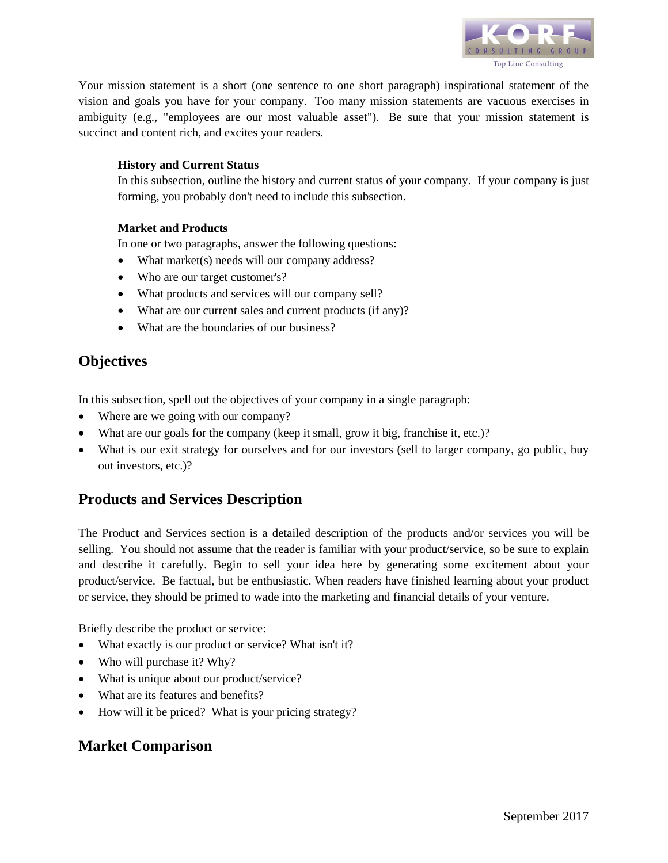

Your mission statement is a short (one sentence to one short paragraph) inspirational statement of the vision and goals you have for your company. Too many mission statements are vacuous exercises in ambiguity (e.g., "employees are our most valuable asset"). Be sure that your mission statement is succinct and content rich, and excites your readers.

#### **History and Current Status**

In this subsection, outline the history and current status of your company. If your company is just forming, you probably don't need to include this subsection.

#### **Market and Products**

In one or two paragraphs, answer the following questions:

- What market(s) needs will our company address?
- Who are our target customer's?
- What products and services will our company sell?
- What are our current sales and current products (if any)?
- What are the boundaries of our business?

# **Objectives**

In this subsection, spell out the objectives of your company in a single paragraph:

- Where are we going with our company?
- What are our goals for the company (keep it small, grow it big, franchise it, etc.)?
- What is our exit strategy for ourselves and for our investors (sell to larger company, go public, buy out investors, etc.)?

# **Products and Services Description**

The Product and Services section is a detailed description of the products and/or services you will be selling. You should not assume that the reader is familiar with your product/service, so be sure to explain and describe it carefully. Begin to sell your idea here by generating some excitement about your product/service. Be factual, but be enthusiastic. When readers have finished learning about your product or service, they should be primed to wade into the marketing and financial details of your venture.

Briefly describe the product or service:

- What exactly is our product or service? What isn't it?
- Who will purchase it? Why?
- What is unique about our product/service?
- What are its features and benefits?
- How will it be priced? What is your pricing strategy?

# **Market Comparison**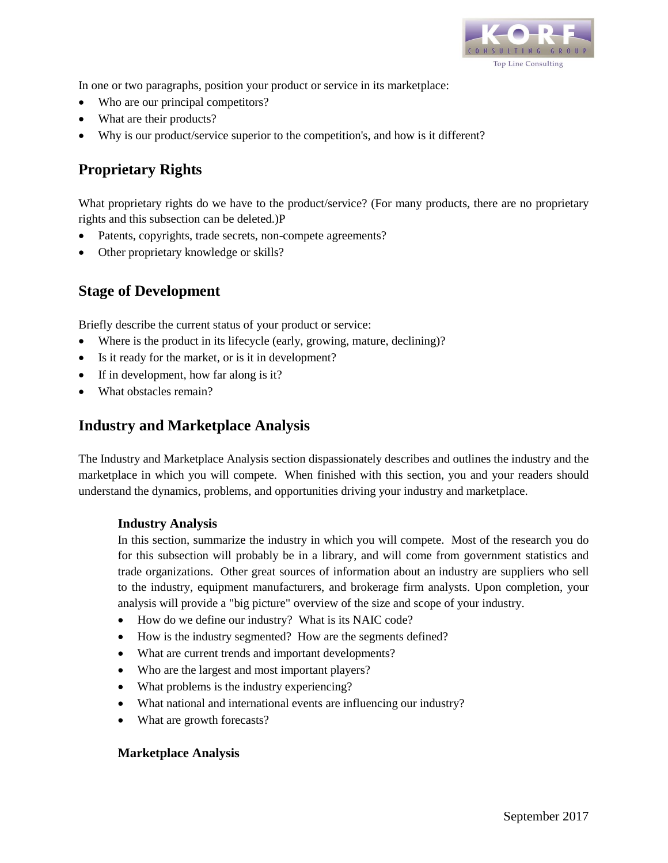

In one or two paragraphs, position your product or service in its marketplace:

- Who are our principal competitors?
- What are their products?
- Why is our product/service superior to the competition's, and how is it different?

# **Proprietary Rights**

What proprietary rights do we have to the product/service? (For many products, there are no proprietary rights and this subsection can be deleted.)P

- Patents, copyrights, trade secrets, non-compete agreements?
- Other proprietary knowledge or skills?

# **Stage of Development**

Briefly describe the current status of your product or service:

- Where is the product in its lifecycle (early, growing, mature, declining)?
- Is it ready for the market, or is it in development?
- If in development, how far along is it?
- What obstacles remain?

# **Industry and Marketplace Analysis**

The Industry and Marketplace Analysis section dispassionately describes and outlines the industry and the marketplace in which you will compete. When finished with this section, you and your readers should understand the dynamics, problems, and opportunities driving your industry and marketplace.

## **Industry Analysis**

In this section, summarize the industry in which you will compete. Most of the research you do for this subsection will probably be in a library, and will come from government statistics and trade organizations. Other great sources of information about an industry are suppliers who sell to the industry, equipment manufacturers, and brokerage firm analysts. Upon completion, your analysis will provide a "big picture" overview of the size and scope of your industry.

- How do we define our industry? What is its NAIC code?
- How is the industry segmented? How are the segments defined?
- What are current trends and important developments?
- Who are the largest and most important players?
- What problems is the industry experiencing?
- What national and international events are influencing our industry?
- What are growth forecasts?

## **Marketplace Analysis**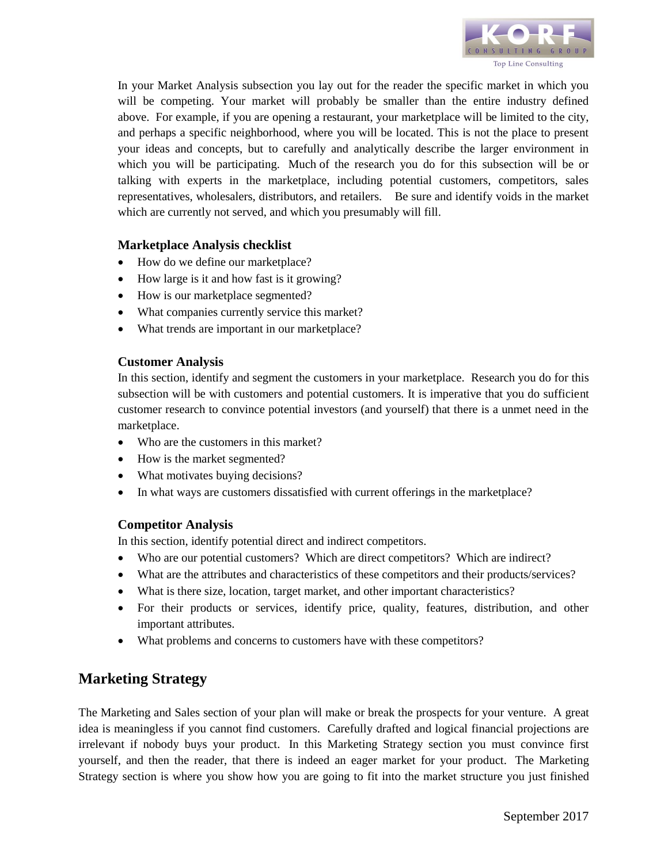

In your Market Analysis subsection you lay out for the reader the specific market in which you will be competing. Your market will probably be smaller than the entire industry defined above. For example, if you are opening a restaurant, your marketplace will be limited to the city, and perhaps a specific neighborhood, where you will be located. This is not the place to present your ideas and concepts, but to carefully and analytically describe the larger environment in which you will be participating. Much of the research you do for this subsection will be or talking with experts in the marketplace, including potential customers, competitors, sales representatives, wholesalers, distributors, and retailers. Be sure and identify voids in the market which are currently not served, and which you presumably will fill.

## **Marketplace Analysis checklist**

- How do we define our marketplace?
- How large is it and how fast is it growing?
- How is our marketplace segmented?
- What companies currently service this market?
- What trends are important in our marketplace?

#### **Customer Analysis**

In this section, identify and segment the customers in your marketplace. Research you do for this subsection will be with customers and potential customers. It is imperative that you do sufficient customer research to convince potential investors (and yourself) that there is a unmet need in the marketplace.

- Who are the customers in this market?
- How is the market segmented?
- What motivates buying decisions?
- In what ways are customers dissatisfied with current offerings in the marketplace?

#### **Competitor Analysis**

In this section, identify potential direct and indirect competitors.

- Who are our potential customers? Which are direct competitors? Which are indirect?
- What are the attributes and characteristics of these competitors and their products/services?
- What is there size, location, target market, and other important characteristics?
- For their products or services, identify price, quality, features, distribution, and other important attributes.
- What problems and concerns to customers have with these competitors?

# **Marketing Strategy**

The Marketing and Sales section of your plan will make or break the prospects for your venture. A great idea is meaningless if you cannot find customers. Carefully drafted and logical financial projections are irrelevant if nobody buys your product. In this Marketing Strategy section you must convince first yourself, and then the reader, that there is indeed an eager market for your product. The Marketing Strategy section is where you show how you are going to fit into the market structure you just finished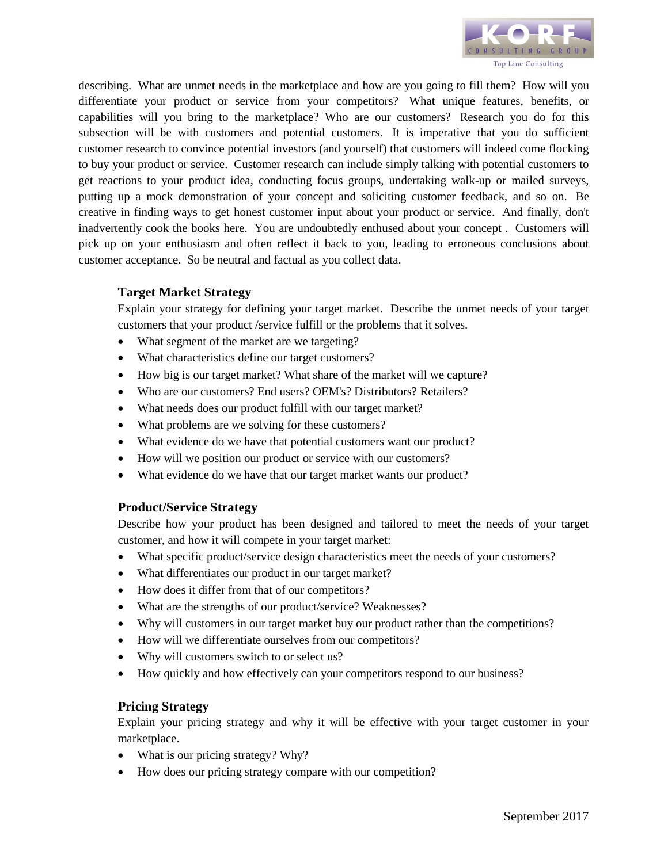

describing. What are unmet needs in the marketplace and how are you going to fill them? How will you differentiate your product or service from your competitors? What unique features, benefits, or capabilities will you bring to the marketplace? Who are our customers? Research you do for this subsection will be with customers and potential customers. It is imperative that you do sufficient customer research to convince potential investors (and yourself) that customers will indeed come flocking to buy your product or service. Customer research can include simply talking with potential customers to get reactions to your product idea, conducting focus groups, undertaking walk-up or mailed surveys, putting up a mock demonstration of your concept and soliciting customer feedback, and so on. Be creative in finding ways to get honest customer input about your product or service. And finally, don't inadvertently cook the books here. You are undoubtedly enthused about your concept . Customers will pick up on your enthusiasm and often reflect it back to you, leading to erroneous conclusions about customer acceptance. So be neutral and factual as you collect data.

## **Target Market Strategy**

Explain your strategy for defining your target market. Describe the unmet needs of your target customers that your product /service fulfill or the problems that it solves.

- What segment of the market are we targeting?
- What characteristics define our target customers?
- How big is our target market? What share of the market will we capture?
- Who are our customers? End users? OEM's? Distributors? Retailers?
- What needs does our product fulfill with our target market?
- What problems are we solving for these customers?
- What evidence do we have that potential customers want our product?
- How will we position our product or service with our customers?
- What evidence do we have that our target market wants our product?

## **Product/Service Strategy**

Describe how your product has been designed and tailored to meet the needs of your target customer, and how it will compete in your target market:

- What specific product/service design characteristics meet the needs of your customers?
- What differentiates our product in our target market?
- How does it differ from that of our competitors?
- What are the strengths of our product/service? Weaknesses?
- Why will customers in our target market buy our product rather than the competitions?
- How will we differentiate ourselves from our competitors?
- Why will customers switch to or select us?
- How quickly and how effectively can your competitors respond to our business?

#### **Pricing Strategy**

Explain your pricing strategy and why it will be effective with your target customer in your marketplace.

- What is our pricing strategy? Why?
- How does our pricing strategy compare with our competition?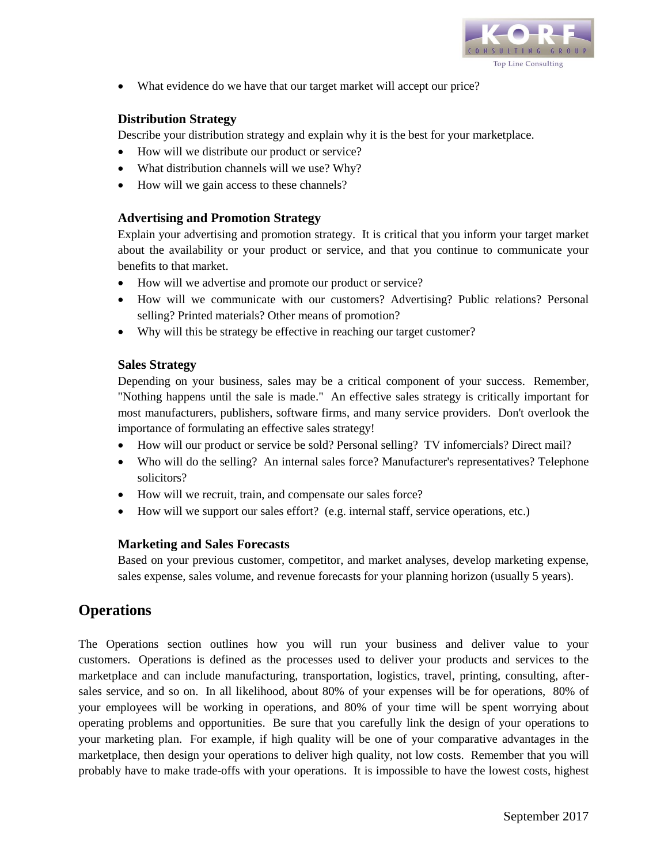

• What evidence do we have that our target market will accept our price?

## **Distribution Strategy**

Describe your distribution strategy and explain why it is the best for your marketplace.

- How will we distribute our product or service?
- What distribution channels will we use? Why?
- How will we gain access to these channels?

## **Advertising and Promotion Strategy**

Explain your advertising and promotion strategy. It is critical that you inform your target market about the availability or your product or service, and that you continue to communicate your benefits to that market.

- How will we advertise and promote our product or service?
- How will we communicate with our customers? Advertising? Public relations? Personal selling? Printed materials? Other means of promotion?
- Why will this be strategy be effective in reaching our target customer?

#### **Sales Strategy**

Depending on your business, sales may be a critical component of your success. Remember, "Nothing happens until the sale is made." An effective sales strategy is critically important for most manufacturers, publishers, software firms, and many service providers. Don't overlook the importance of formulating an effective sales strategy!

- How will our product or service be sold? Personal selling? TV informercials? Direct mail?
- Who will do the selling? An internal sales force? Manufacturer's representatives? Telephone solicitors?
- How will we recruit, train, and compensate our sales force?
- How will we support our sales effort? (e.g. internal staff, service operations, etc.)

## **Marketing and Sales Forecasts**

Based on your previous customer, competitor, and market analyses, develop marketing expense, sales expense, sales volume, and revenue forecasts for your planning horizon (usually 5 years).

# **Operations**

The Operations section outlines how you will run your business and deliver value to your customers. Operations is defined as the processes used to deliver your products and services to the marketplace and can include manufacturing, transportation, logistics, travel, printing, consulting, aftersales service, and so on. In all likelihood, about 80% of your expenses will be for operations, 80% of your employees will be working in operations, and 80% of your time will be spent worrying about operating problems and opportunities. Be sure that you carefully link the design of your operations to your marketing plan. For example, if high quality will be one of your comparative advantages in the marketplace, then design your operations to deliver high quality, not low costs. Remember that you will probably have to make trade-offs with your operations. It is impossible to have the lowest costs, highest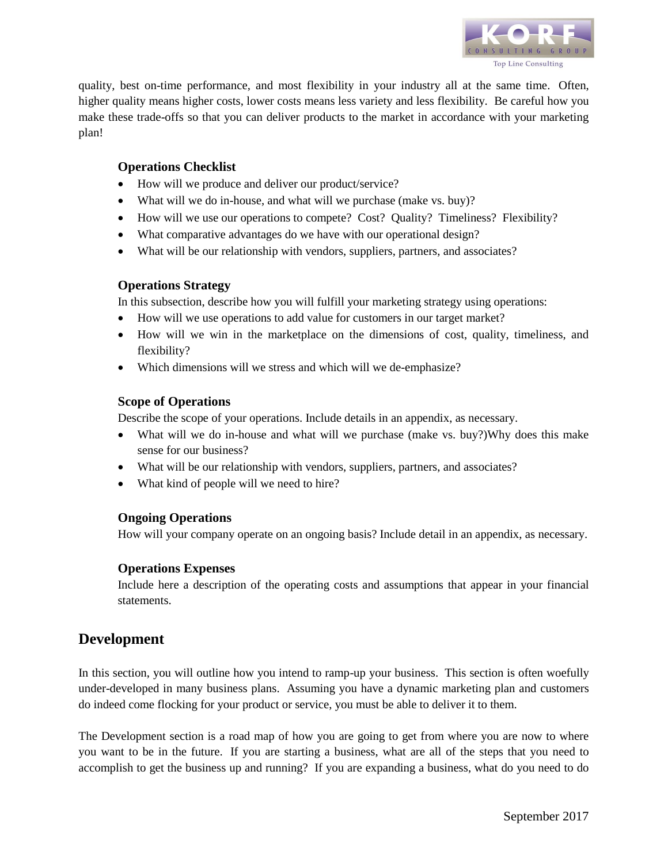

quality, best on-time performance, and most flexibility in your industry all at the same time. Often, higher quality means higher costs, lower costs means less variety and less flexibility. Be careful how you make these trade-offs so that you can deliver products to the market in accordance with your marketing plan!

## **Operations Checklist**

- How will we produce and deliver our product/service?
- What will we do in-house, and what will we purchase (make vs. buy)?
- How will we use our operations to compete? Cost? Quality? Timeliness? Flexibility?
- What comparative advantages do we have with our operational design?
- What will be our relationship with vendors, suppliers, partners, and associates?

## **Operations Strategy**

In this subsection, describe how you will fulfill your marketing strategy using operations:

- How will we use operations to add value for customers in our target market?
- How will we win in the marketplace on the dimensions of cost, quality, timeliness, and flexibility?
- Which dimensions will we stress and which will we de-emphasize?

## **Scope of Operations**

Describe the scope of your operations. Include details in an appendix, as necessary.

- What will we do in-house and what will we purchase (make vs. buy?)Why does this make sense for our business?
- What will be our relationship with vendors, suppliers, partners, and associates?
- What kind of people will we need to hire?

## **Ongoing Operations**

How will your company operate on an ongoing basis? Include detail in an appendix, as necessary.

## **Operations Expenses**

Include here a description of the operating costs and assumptions that appear in your financial statements.

# **Development**

In this section, you will outline how you intend to ramp-up your business. This section is often woefully under-developed in many business plans. Assuming you have a dynamic marketing plan and customers do indeed come flocking for your product or service, you must be able to deliver it to them.

The Development section is a road map of how you are going to get from where you are now to where you want to be in the future. If you are starting a business, what are all of the steps that you need to accomplish to get the business up and running? If you are expanding a business, what do you need to do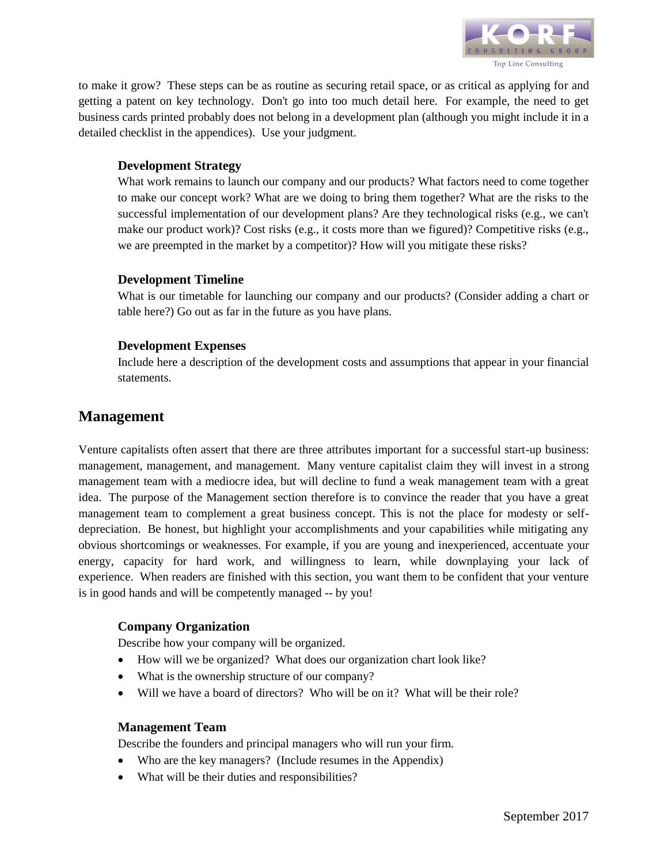

to make it grow? These steps can be as routine as securing retail space, or as critical as applying for and getting a patent on key technology. Don't go into too much detail here. For example, the need to get business cards printed probably does not belong in a development plan (although you might include it in a detailed checklist in the appendices). Use your judgment.

## **Development Strategy**

What work remains to launch our company and our products? What factors need to come together to make our concept work? What are we doing to bring them together? What are the risks to the successful implementation of our development plans? Are they technological risks (e.g., we can't make our product work)? Cost risks (e.g., it costs more than we figured)? Competitive risks (e.g., we are preempted in the market by a competitor)? How will you mitigate these risks?

#### **Development Timeline**

What is our timetable for launching our company and our products? (Consider adding a chart or table here?) Go out as far in the future as you have plans.

#### **Development Expenses**

Include here a description of the development costs and assumptions that appear in your financial statements.

# **Management**

Venture capitalists often assert that there are three attributes important for a successful start-up business: management, management, and management. Many venture capitalist claim they will invest in a strong management team with a mediocre idea, but will decline to fund a weak management team with a great idea. The purpose of the Management section therefore is to convince the reader that you have a great management team to complement a great business concept. This is not the place for modesty or selfdepreciation. Be honest, but highlight your accomplishments and your capabilities while mitigating any obvious shortcomings or weaknesses. For example, if you are young and inexperienced, accentuate your energy, capacity for hard work, and willingness to learn, while downplaying your lack of experience. When readers are finished with this section, you want them to be confident that your venture is in good hands and will be competently managed -- by you!

## **Company Organization**

Describe how your company will be organized.

- How will we be organized? What does our organization chart look like?
- What is the ownership structure of our company?
- Will we have a board of directors? Who will be on it? What will be their role?

#### **Management Team**

Describe the founders and principal managers who will run your firm.

- Who are the key managers? (Include resumes in the Appendix)
- What will be their duties and responsibilities?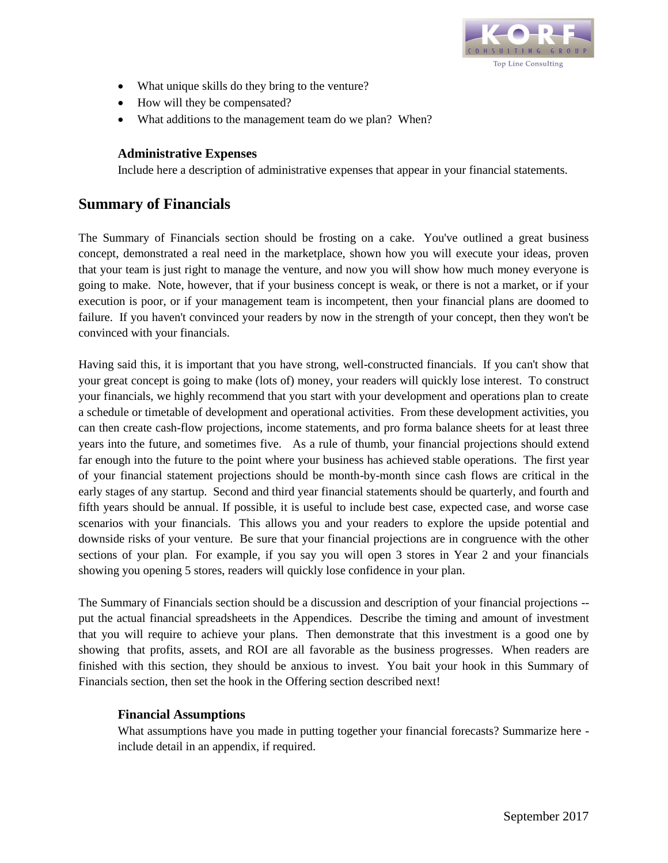

- What unique skills do they bring to the venture?
- How will they be compensated?
- What additions to the management team do we plan? When?

## **Administrative Expenses**

Include here a description of administrative expenses that appear in your financial statements.

## **Summary of Financials**

The Summary of Financials section should be frosting on a cake. You've outlined a great business concept, demonstrated a real need in the marketplace, shown how you will execute your ideas, proven that your team is just right to manage the venture, and now you will show how much money everyone is going to make. Note, however, that if your business concept is weak, or there is not a market, or if your execution is poor, or if your management team is incompetent, then your financial plans are doomed to failure. If you haven't convinced your readers by now in the strength of your concept, then they won't be convinced with your financials.

Having said this, it is important that you have strong, well-constructed financials. If you can't show that your great concept is going to make (lots of) money, your readers will quickly lose interest. To construct your financials, we highly recommend that you start with your development and operations plan to create a schedule or timetable of development and operational activities. From these development activities, you can then create cash-flow projections, income statements, and pro forma balance sheets for at least three years into the future, and sometimes five. As a rule of thumb, your financial projections should extend far enough into the future to the point where your business has achieved stable operations. The first year of your financial statement projections should be month-by-month since cash flows are critical in the early stages of any startup. Second and third year financial statements should be quarterly, and fourth and fifth years should be annual. If possible, it is useful to include best case, expected case, and worse case scenarios with your financials. This allows you and your readers to explore the upside potential and downside risks of your venture. Be sure that your financial projections are in congruence with the other sections of your plan. For example, if you say you will open 3 stores in Year 2 and your financials showing you opening 5 stores, readers will quickly lose confidence in your plan.

The Summary of Financials section should be a discussion and description of your financial projections - put the actual financial spreadsheets in the Appendices. Describe the timing and amount of investment that you will require to achieve your plans. Then demonstrate that this investment is a good one by showing that profits, assets, and ROI are all favorable as the business progresses. When readers are finished with this section, they should be anxious to invest. You bait your hook in this Summary of Financials section, then set the hook in the Offering section described next!

## **Financial Assumptions**

What assumptions have you made in putting together your financial forecasts? Summarize here include detail in an appendix, if required.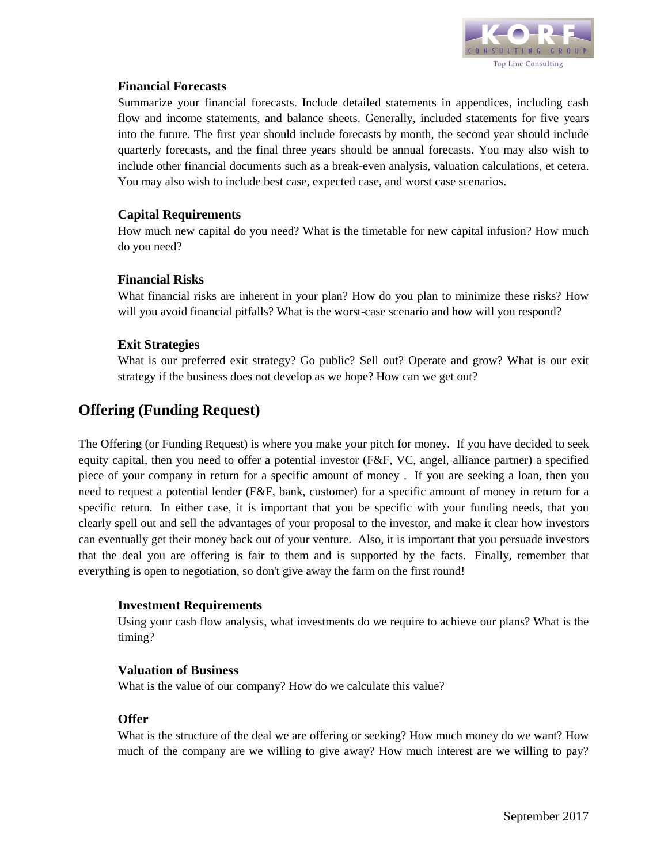

## **Financial Forecasts**

Summarize your financial forecasts. Include detailed statements in appendices, including cash flow and income statements, and balance sheets. Generally, included statements for five years into the future. The first year should include forecasts by month, the second year should include quarterly forecasts, and the final three years should be annual forecasts. You may also wish to include other financial documents such as a break-even analysis, valuation calculations, et cetera. You may also wish to include best case, expected case, and worst case scenarios.

#### **Capital Requirements**

How much new capital do you need? What is the timetable for new capital infusion? How much do you need?

#### **Financial Risks**

What financial risks are inherent in your plan? How do you plan to minimize these risks? How will you avoid financial pitfalls? What is the worst-case scenario and how will you respond?

#### **Exit Strategies**

What is our preferred exit strategy? Go public? Sell out? Operate and grow? What is our exit strategy if the business does not develop as we hope? How can we get out?

# **Offering (Funding Request)**

The Offering (or Funding Request) is where you make your pitch for money. If you have decided to seek equity capital, then you need to offer a potential investor (F&F, VC, angel, alliance partner) a specified piece of your company in return for a specific amount of money . If you are seeking a loan, then you need to request a potential lender (F&F, bank, customer) for a specific amount of money in return for a specific return. In either case, it is important that you be specific with your funding needs, that you clearly spell out and sell the advantages of your proposal to the investor, and make it clear how investors can eventually get their money back out of your venture. Also, it is important that you persuade investors that the deal you are offering is fair to them and is supported by the facts. Finally, remember that everything is open to negotiation, so don't give away the farm on the first round!

## **Investment Requirements**

Using your cash flow analysis, what investments do we require to achieve our plans? What is the timing?

#### **Valuation of Business**

What is the value of our company? How do we calculate this value?

#### **Offer**

What is the structure of the deal we are offering or seeking? How much money do we want? How much of the company are we willing to give away? How much interest are we willing to pay?